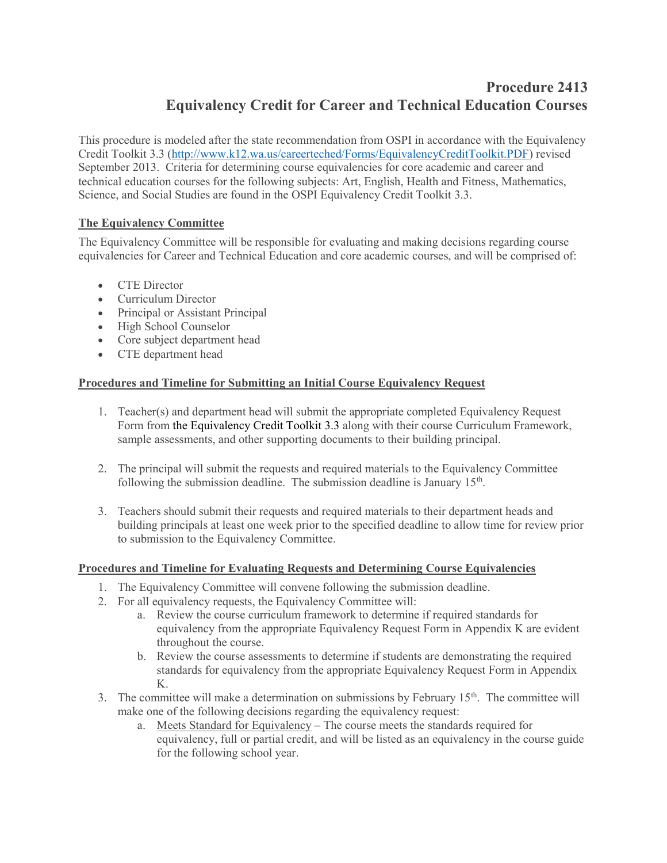# Procedure 2413 Equivalency Credit for Career and Technical Education Courses

This procedure is modeled after the state recommendation from OSPI in accordance with the Equivalency Credit Toolkit 3.3 (http://www.k12.wa.us/careerteched/Forms/EquivalencyCreditToolkit.PDF) revised September 2013. Criteria for determining course equivalencies for core academic and career and technical education courses for the following subjects: Art, English, Health and Fitness, Mathematics, Science, and Social Studies are found in the OSPI Equivalency Credit Toolkit 3.3.

## The Equivalency Committee

The Equivalency Committee will be responsible for evaluating and making decisions regarding course equivalencies for Career and Technical Education and core academic courses, and will be comprised of:

- CTE Director
- Curriculum Director
- Principal or Assistant Principal
- High School Counselor
- Core subject department head
- CTE department head

## Procedures and Timeline for Submitting an Initial Course Equivalency Request

- 1. Teacher(s) and department head will submit the appropriate completed Equivalency Request Form from the Equivalency Credit Toolkit 3.3 along with their course Curriculum Framework, sample assessments, and other supporting documents to their building principal.
- 2. The principal will submit the requests and required materials to the Equivalency Committee following the submission deadline. The submission deadline is January 15<sup>th</sup>.
- 3. Teachers should submit their requests and required materials to their department heads and building principals at least one week prior to the specified deadline to allow time for review prior to submission to the Equivalency Committee.

#### Procedures and Timeline for Evaluating Requests and Determining Course Equivalencies

- 1. The Equivalency Committee will convene following the submission deadline.
- 2. For all equivalency requests, the Equivalency Committee will:
	- a. Review the course curriculum framework to determine if required standards for equivalency from the appropriate Equivalency Request Form in Appendix K are evident throughout the course.
	- b. Review the course assessments to determine if students are demonstrating the required standards for equivalency from the appropriate Equivalency Request Form in Appendix K.
- 3. The committee will make a determination on submissions by February  $15<sup>th</sup>$ . The committee will make one of the following decisions regarding the equivalency request:
	- a. Meets Standard for Equivalency The course meets the standards required for equivalency, full or partial credit, and will be listed as an equivalency in the course guide for the following school year.